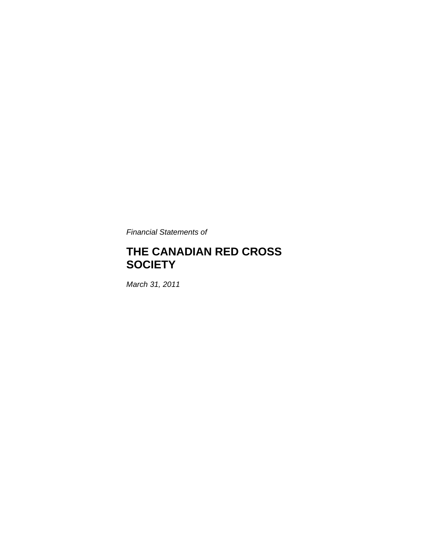*Financial Statements of* 

## **THE CANADIAN RED CROSS SOCIETY**

*March 31, 2011*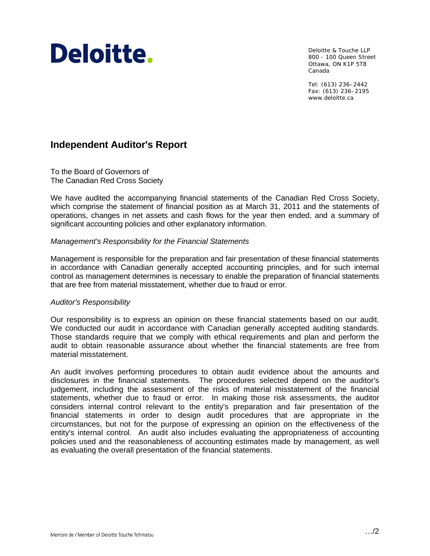# Deloitte.

Deloitte & Touche LLP 800 - 100 Queen Street Ottawa, ON K1P 5T8 Canada

Tel: (613) 236–2442 Fax: (613) 236–2195 www.deloitte.ca

## **Independent Auditor's Report**

To the Board of Governors of The Canadian Red Cross Society

We have audited the accompanying financial statements of the Canadian Red Cross Society, which comprise the statement of financial position as at March 31, 2011 and the statements of operations, changes in net assets and cash flows for the year then ended, and a summary of significant accounting policies and other explanatory information.

#### *Management's Responsibility for the Financial Statements*

Management is responsible for the preparation and fair presentation of these financial statements in accordance with Canadian generally accepted accounting principles, and for such internal control as management determines is necessary to enable the preparation of financial statements that are free from material misstatement, whether due to fraud or error.

#### *Auditor's Responsibility*

Our responsibility is to express an opinion on these financial statements based on our audit. We conducted our audit in accordance with Canadian generally accepted auditing standards. Those standards require that we comply with ethical requirements and plan and perform the audit to obtain reasonable assurance about whether the financial statements are free from material misstatement.

An audit involves performing procedures to obtain audit evidence about the amounts and disclosures in the financial statements. The procedures selected depend on the auditor's judgement, including the assessment of the risks of material misstatement of the financial statements, whether due to fraud or error. In making those risk assessments, the auditor considers internal control relevant to the entity's preparation and fair presentation of the financial statements in order to design audit procedures that are appropriate in the circumstances, but not for the purpose of expressing an opinion on the effectiveness of the entity's internal control. An audit also includes evaluating the appropriateness of accounting policies used and the reasonableness of accounting estimates made by management, as well as evaluating the overall presentation of the financial statements.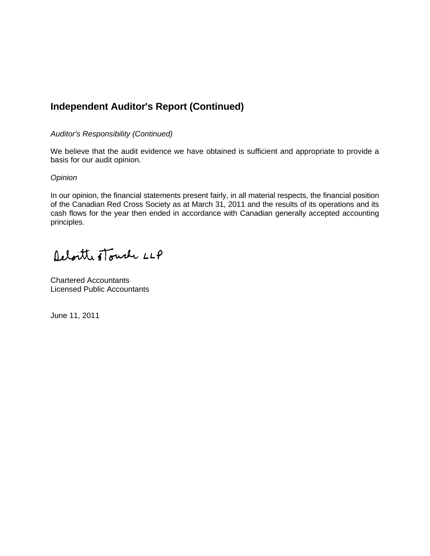## **Independent Auditor's Report (Continued)**

#### *Auditor's Responsibility (Continued)*

We believe that the audit evidence we have obtained is sufficient and appropriate to provide a basis for our audit opinion.

#### *Opinion*

In our opinion, the financial statements present fairly, in all material respects, the financial position of the Canadian Red Cross Society as at March 31, 2011 and the results of its operations and its cash flows for the year then ended in accordance with Canadian generally accepted accounting principles.

Deloitte stouch LLP

Chartered Accountants Licensed Public Accountants

June 11, 2011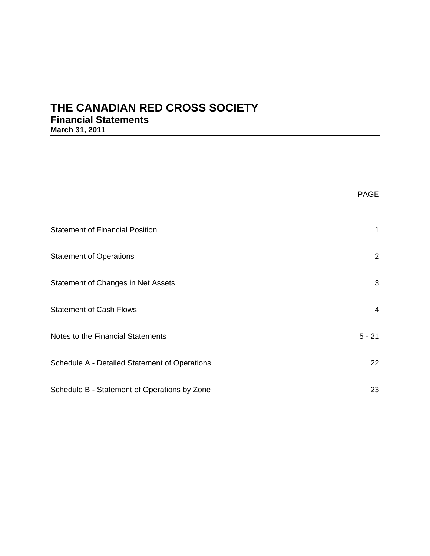## **THE CANADIAN RED CROSS SOCIETY Financial Statements March 31, 2011**

|                                               | PAGE           |
|-----------------------------------------------|----------------|
| <b>Statement of Financial Position</b>        | 1              |
| <b>Statement of Operations</b>                | $\overline{2}$ |
| Statement of Changes in Net Assets            | 3              |
| <b>Statement of Cash Flows</b>                | 4              |
| Notes to the Financial Statements             | $5 - 21$       |
| Schedule A - Detailed Statement of Operations | 22             |
| Schedule B - Statement of Operations by Zone  | 23             |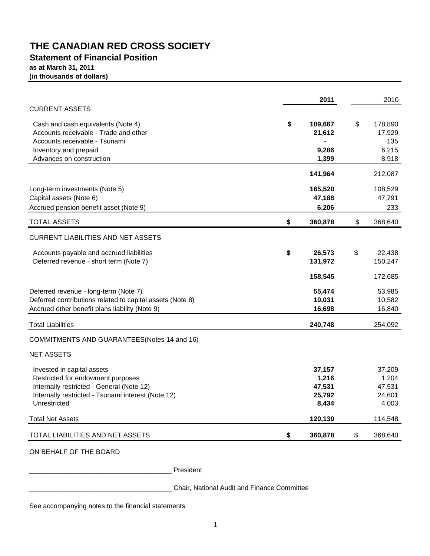#### **Statement of Financial Position**

**as at March 31, 2011**

**(in thousands of dollars)**

|                                                                                                                                                                                    | 2011                                         | 2010                                         |
|------------------------------------------------------------------------------------------------------------------------------------------------------------------------------------|----------------------------------------------|----------------------------------------------|
| <b>CURRENT ASSETS</b>                                                                                                                                                              |                                              |                                              |
| Cash and cash equivalents (Note 4)<br>Accounts receivable - Trade and other<br>Accounts receivable - Tsunami                                                                       | \$<br>109,667<br>21,612                      | \$<br>178,890<br>17,929<br>135               |
| Inventory and prepaid<br>Advances on construction                                                                                                                                  | 9,286<br>1,399                               | 6,215<br>8,918                               |
|                                                                                                                                                                                    | 141,964                                      | 212,087                                      |
| Long-term investments (Note 5)<br>Capital assets (Note 6)<br>Accrued pension benefit asset (Note 9)                                                                                | 165,520<br>47,188<br>6,206                   | 108,529<br>47,791<br>233                     |
| <b>TOTAL ASSETS</b>                                                                                                                                                                | \$<br>360,878                                | \$<br>368,640                                |
| <b>CURRENT LIABILITIES AND NET ASSETS</b>                                                                                                                                          |                                              |                                              |
| Accounts payable and accrued liabilities<br>Deferred revenue - short term (Note 7)                                                                                                 | \$<br>26,573<br>131,972                      | \$<br>22,438<br>150,247                      |
|                                                                                                                                                                                    | 158,545                                      | 172,685                                      |
| Deferred revenue - long-term (Note 7)                                                                                                                                              | 55,474                                       | 53,985                                       |
| Deferred contributions related to capital assets (Note 8)<br>Accrued other benefit plans liability (Note 9)                                                                        | 10,031<br>16,698                             | 10,582<br>16,840                             |
| <b>Total Liabilities</b>                                                                                                                                                           | 240,748                                      | 254,092                                      |
| COMMITMENTS AND GUARANTEES(Notes 14 and 16)                                                                                                                                        |                                              |                                              |
| <b>NET ASSETS</b>                                                                                                                                                                  |                                              |                                              |
| Invested in capital assets<br>Restricted for endowment purposes<br>Internally restricted - General (Note 12)<br>Internally restricted - Tsunami interest (Note 12)<br>Unrestricted | 37,157<br>1,216<br>47,531<br>25,792<br>8,434 | 37,209<br>1,204<br>47,531<br>24,601<br>4,003 |
| <b>Total Net Assets</b>                                                                                                                                                            | 120,130                                      | 114,548                                      |
| TOTAL LIABILITIES AND NET ASSETS                                                                                                                                                   | \$<br>360,878                                | \$<br>368,640                                |
| ON BEHALF OF THE BOARD                                                                                                                                                             |                                              |                                              |

\_\_\_\_\_\_\_\_\_\_\_\_\_\_\_\_\_\_\_\_\_\_\_\_\_\_\_\_\_\_\_\_\_\_\_\_\_\_ President

\_\_\_\_\_\_\_\_\_\_\_\_\_\_\_\_\_\_\_\_\_\_\_\_\_\_\_\_\_\_\_\_\_\_\_\_\_\_ Chair, National Audit and Finance Committee

See accompanying notes to the financial statements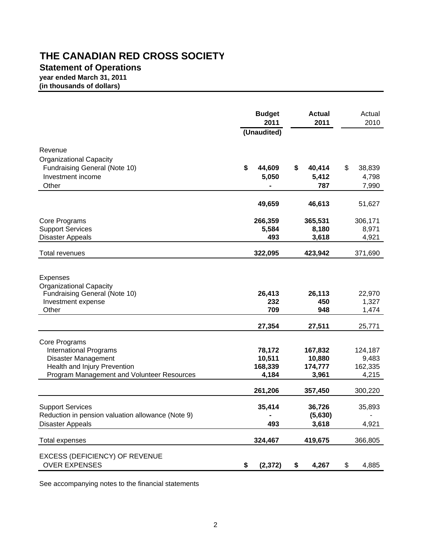## **Statement of Operations**

**year ended March 31, 2011**

**(in thousands of dollars)**

|                                                     | <b>Budget</b><br>2011 | <b>Actual</b><br>2011 | Actual<br>2010  |
|-----------------------------------------------------|-----------------------|-----------------------|-----------------|
|                                                     | (Unaudited)           |                       |                 |
| Revenue                                             |                       |                       |                 |
| <b>Organizational Capacity</b>                      |                       |                       |                 |
| Fundraising General (Note 10)                       | \$<br>44,609          | \$<br>40,414          | \$<br>38,839    |
| Investment income                                   | 5,050                 | 5,412                 | 4,798           |
| Other                                               |                       | 787                   | 7,990           |
|                                                     | 49,659                | 46,613                | 51,627          |
| Core Programs                                       | 266,359               | 365,531               | 306,171         |
| <b>Support Services</b>                             | 5,584                 | 8,180                 | 8,971           |
| <b>Disaster Appeals</b>                             | 493                   | 3,618                 | 4,921           |
| Total revenues                                      | 322,095               | 423,942               | 371,690         |
|                                                     |                       |                       |                 |
| Expenses                                            |                       |                       |                 |
| <b>Organizational Capacity</b>                      |                       |                       |                 |
| Fundraising General (Note 10)<br>Investment expense | 26,413<br>232         | 26,113<br>450         | 22,970<br>1,327 |
| Other                                               | 709                   | 948                   | 1,474           |
|                                                     |                       |                       |                 |
|                                                     | 27,354                | 27,511                | 25,771          |
| Core Programs                                       |                       |                       |                 |
| <b>International Programs</b>                       | 78,172                | 167,832               | 124,187         |
| Disaster Management                                 | 10,511                | 10,880                | 9,483           |
| Health and Injury Prevention                        | 168,339               | 174,777               | 162,335         |
| Program Management and Volunteer Resources          | 4,184                 | 3,961                 | 4,215           |
|                                                     | 261,206               | 357,450               | 300,220         |
|                                                     |                       |                       |                 |
| <b>Support Services</b>                             | 35,414                | 36,726                | 35,893          |
| Reduction in pension valuation allowance (Note 9)   |                       | (5,630)               |                 |
| <b>Disaster Appeals</b>                             | 493                   | 3,618                 | 4,921           |
| Total expenses                                      | 324,467               | 419,675               | 366,805         |
| EXCESS (DEFICIENCY) OF REVENUE                      |                       |                       |                 |
| <b>OVER EXPENSES</b>                                | \$<br>(2, 372)        | \$<br>4,267           | \$<br>4,885     |

See accompanying notes to the financial statements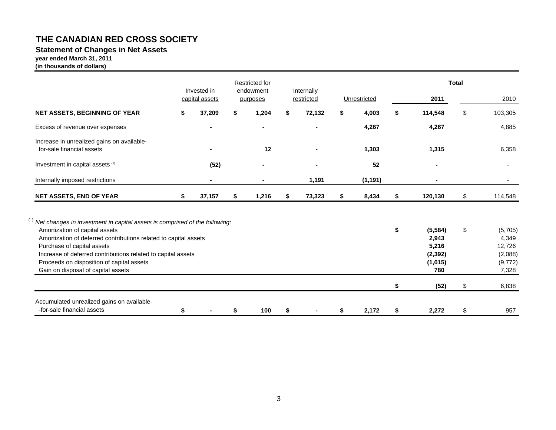#### **Statement of Changes in Net Assets**

**year ended March 31, 2011**

**(in thousands of dollars)**

|                                                                                                                                                                                                                                                                                                                                                                            |    |                               | <b>Restricted for</b> |    |                          |    |              |                                                                | <b>Total</b> |                                                           |
|----------------------------------------------------------------------------------------------------------------------------------------------------------------------------------------------------------------------------------------------------------------------------------------------------------------------------------------------------------------------------|----|-------------------------------|-----------------------|----|--------------------------|----|--------------|----------------------------------------------------------------|--------------|-----------------------------------------------------------|
|                                                                                                                                                                                                                                                                                                                                                                            |    | Invested in<br>capital assets | endowment<br>purposes |    | Internally<br>restricted |    | Unrestricted | 2011                                                           |              | 2010                                                      |
| <b>NET ASSETS, BEGINNING OF YEAR</b>                                                                                                                                                                                                                                                                                                                                       | \$ | 37,209                        | \$<br>1,204           | \$ | 72,132                   | \$ | 4,003        | \$<br>114,548                                                  | \$           | 103,305                                                   |
| Excess of revenue over expenses                                                                                                                                                                                                                                                                                                                                            |    | $\blacksquare$                | $\blacksquare$        |    |                          |    | 4,267        | 4,267                                                          |              | 4,885                                                     |
| Increase in unrealized gains on available-<br>for-sale financial assets                                                                                                                                                                                                                                                                                                    |    |                               | 12                    |    |                          |    | 1,303        | 1,315                                                          |              | 6,358                                                     |
| Investment in capital assets (1)                                                                                                                                                                                                                                                                                                                                           |    | (52)                          |                       |    |                          |    | 52           |                                                                |              |                                                           |
| Internally imposed restrictions                                                                                                                                                                                                                                                                                                                                            |    |                               |                       |    | 1,191                    |    | (1, 191)     |                                                                |              |                                                           |
| <b>NET ASSETS, END OF YEAR</b>                                                                                                                                                                                                                                                                                                                                             | S  | 37,157                        | \$<br>1,216           | S  | 73,323                   | S. | 8,434        | \$<br>120,130                                                  | \$           | 114,548                                                   |
|                                                                                                                                                                                                                                                                                                                                                                            |    |                               |                       |    |                          |    |              |                                                                |              |                                                           |
| $^{(1)}$ Net changes in investment in capital assets is comprised of the following:<br>Amortization of capital assets<br>Amortization of deferred contributions related to capital assets<br>Purchase of capital assets<br>Increase of deferred contributions related to capital assets<br>Proceeds on disposition of capital assets<br>Gain on disposal of capital assets |    |                               |                       |    |                          |    |              | \$<br>(5, 584)<br>2,943<br>5,216<br>(2, 392)<br>(1,015)<br>780 | \$           | (5,705)<br>4,349<br>12,726<br>(2,088)<br>(9,772)<br>7,328 |
|                                                                                                                                                                                                                                                                                                                                                                            |    |                               |                       |    |                          |    |              | \$<br>(52)                                                     | \$           | 6,838                                                     |
| Accumulated unrealized gains on available-<br>-for-sale financial assets                                                                                                                                                                                                                                                                                                   | \$ |                               | \$<br>100             | \$ |                          | \$ | 2,172        | \$<br>2,272                                                    | \$           | 957                                                       |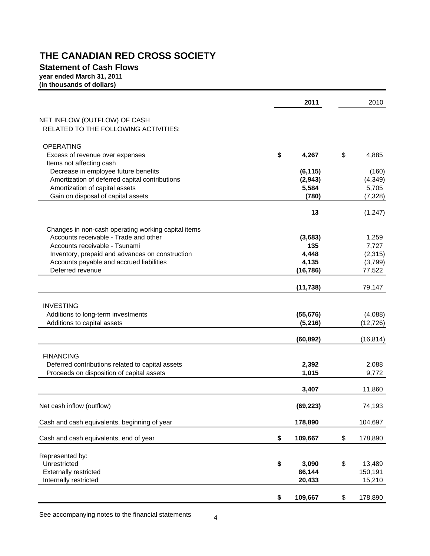## **Statement of Cash Flows**

**year ended March 31, 2011 (in thousands of dollars)**

|                                                                             | 2011               | 2010              |
|-----------------------------------------------------------------------------|--------------------|-------------------|
| NET INFLOW (OUTFLOW) OF CASH<br><b>RELATED TO THE FOLLOWING ACTIVITIES:</b> |                    |                   |
| <b>OPERATING</b>                                                            |                    |                   |
| Excess of revenue over expenses                                             | \$<br>4,267        | \$<br>4,885       |
| Items not affecting cash<br>Decrease in employee future benefits            | (6, 115)           | (160)             |
| Amortization of deferred capital contributions                              | (2, 943)           | (4, 349)          |
| Amortization of capital assets                                              | 5,584              | 5,705             |
| Gain on disposal of capital assets                                          | (780)              | (7, 328)          |
|                                                                             | 13                 | (1, 247)          |
| Changes in non-cash operating working capital items                         |                    |                   |
| Accounts receivable - Trade and other                                       | (3,683)            | 1,259             |
| Accounts receivable - Tsunami                                               | 135                | 7,727             |
| Inventory, prepaid and advances on construction                             | 4,448              | (2,315)           |
| Accounts payable and accrued liabilities<br>Deferred revenue                | 4,135<br>(16, 786) | (3,799)<br>77,522 |
|                                                                             |                    |                   |
|                                                                             | (11, 738)          | 79,147            |
| <b>INVESTING</b>                                                            |                    |                   |
| Additions to long-term investments                                          | (55, 676)          | (4,088)           |
| Additions to capital assets                                                 | (5,216)            | (12, 726)         |
|                                                                             | (60, 892)          | (16, 814)         |
| <b>FINANCING</b>                                                            |                    |                   |
| Deferred contributions related to capital assets                            | 2,392              | 2,088             |
| Proceeds on disposition of capital assets                                   | 1,015              | 9,772             |
|                                                                             | 3,407              | 11,860            |
| Net cash inflow (outflow)                                                   | (69, 223)          | 74,193            |
| Cash and cash equivalents, beginning of year                                | 178,890            | 104,697           |
| Cash and cash equivalents, end of year                                      | \$<br>109,667      | \$<br>178,890     |
|                                                                             |                    |                   |
| Represented by:<br>Unrestricted                                             | \$<br>3,090        | \$<br>13,489      |
| <b>Externally restricted</b>                                                | 86,144             | 150,191           |
| Internally restricted                                                       | 20,433             | 15,210            |
|                                                                             | \$<br>109,667      | \$<br>178,890     |

See accompanying notes to the financial statements 4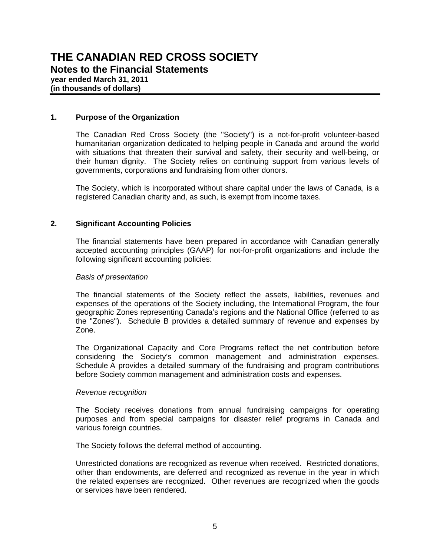#### **1. Purpose of the Organization**

The Canadian Red Cross Society (the "Society") is a not-for-profit volunteer-based humanitarian organization dedicated to helping people in Canada and around the world with situations that threaten their survival and safety, their security and well-being, or their human dignity. The Society relies on continuing support from various levels of governments, corporations and fundraising from other donors.

The Society, which is incorporated without share capital under the laws of Canada, is a registered Canadian charity and, as such, is exempt from income taxes.

#### **2. Significant Accounting Policies**

The financial statements have been prepared in accordance with Canadian generally accepted accounting principles (GAAP) for not-for-profit organizations and include the following significant accounting policies:

#### *Basis of presentation*

The financial statements of the Society reflect the assets, liabilities, revenues and expenses of the operations of the Society including, the International Program, the four geographic Zones representing Canada's regions and the National Office (referred to as the "Zones"). Schedule B provides a detailed summary of revenue and expenses by Zone.

The Organizational Capacity and Core Programs reflect the net contribution before considering the Society's common management and administration expenses. Schedule A provides a detailed summary of the fundraising and program contributions before Society common management and administration costs and expenses.

#### *Revenue recognition*

The Society receives donations from annual fundraising campaigns for operating purposes and from special campaigns for disaster relief programs in Canada and various foreign countries.

The Society follows the deferral method of accounting.

Unrestricted donations are recognized as revenue when received. Restricted donations, other than endowments, are deferred and recognized as revenue in the year in which the related expenses are recognized. Other revenues are recognized when the goods or services have been rendered.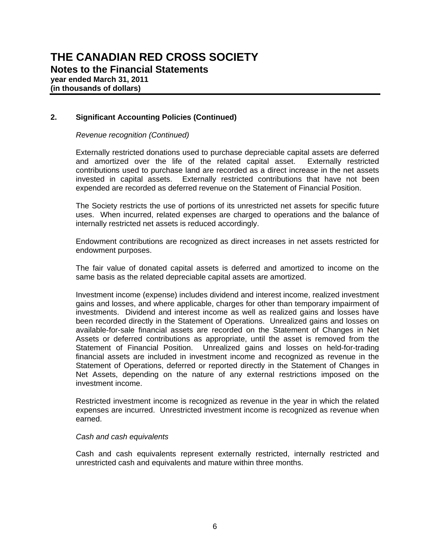*Revenue recognition (Continued)* 

Externally restricted donations used to purchase depreciable capital assets are deferred and amortized over the life of the related capital asset. Externally restricted contributions used to purchase land are recorded as a direct increase in the net assets invested in capital assets. Externally restricted contributions that have not been expended are recorded as deferred revenue on the Statement of Financial Position.

The Society restricts the use of portions of its unrestricted net assets for specific future uses. When incurred, related expenses are charged to operations and the balance of internally restricted net assets is reduced accordingly.

Endowment contributions are recognized as direct increases in net assets restricted for endowment purposes.

The fair value of donated capital assets is deferred and amortized to income on the same basis as the related depreciable capital assets are amortized.

Investment income (expense) includes dividend and interest income, realized investment gains and losses, and where applicable, charges for other than temporary impairment of investments. Dividend and interest income as well as realized gains and losses have been recorded directly in the Statement of Operations. Unrealized gains and losses on available-for-sale financial assets are recorded on the Statement of Changes in Net Assets or deferred contributions as appropriate, until the asset is removed from the Statement of Financial Position. Unrealized gains and losses on held-for-trading financial assets are included in investment income and recognized as revenue in the Statement of Operations, deferred or reported directly in the Statement of Changes in Net Assets, depending on the nature of any external restrictions imposed on the investment income.

Restricted investment income is recognized as revenue in the year in which the related expenses are incurred. Unrestricted investment income is recognized as revenue when earned.

#### *Cash and cash equivalents*

Cash and cash equivalents represent externally restricted, internally restricted and unrestricted cash and equivalents and mature within three months.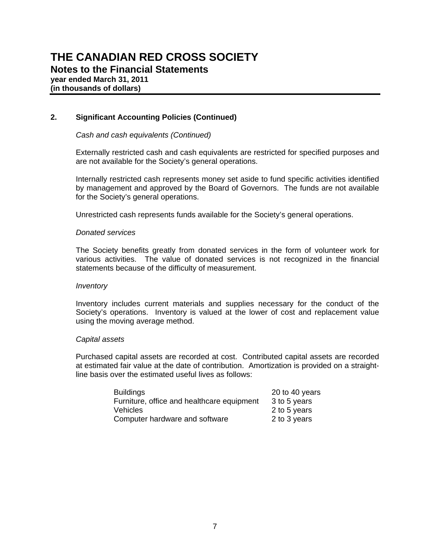## **THE CANADIAN RED CROSS SOCIETY Notes to the Financial Statements year ended March 31, 2011 (in thousands of dollars)**

#### **2. Significant Accounting Policies (Continued)**

#### *Cash and cash equivalents (Continued)*

Externally restricted cash and cash equivalents are restricted for specified purposes and are not available for the Society's general operations.

Internally restricted cash represents money set aside to fund specific activities identified by management and approved by the Board of Governors. The funds are not available for the Society's general operations.

Unrestricted cash represents funds available for the Society's general operations.

#### *Donated services*

The Society benefits greatly from donated services in the form of volunteer work for various activities. The value of donated services is not recognized in the financial statements because of the difficulty of measurement.

#### *Inventory*

Inventory includes current materials and supplies necessary for the conduct of the Society's operations. Inventory is valued at the lower of cost and replacement value using the moving average method.

#### *Capital assets*

Purchased capital assets are recorded at cost. Contributed capital assets are recorded at estimated fair value at the date of contribution. Amortization is provided on a straightline basis over the estimated useful lives as follows:

| <b>Buildings</b>                           | 20 to 40 years |
|--------------------------------------------|----------------|
| Furniture, office and healthcare equipment | 3 to 5 years   |
| <b>Vehicles</b>                            | 2 to 5 years   |
| Computer hardware and software             | 2 to 3 years   |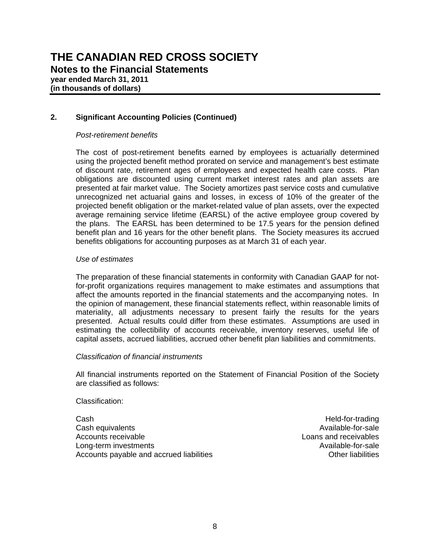#### *Post-retirement benefits*

The cost of post-retirement benefits earned by employees is actuarially determined using the projected benefit method prorated on service and management's best estimate of discount rate, retirement ages of employees and expected health care costs. Plan obligations are discounted using current market interest rates and plan assets are presented at fair market value. The Society amortizes past service costs and cumulative unrecognized net actuarial gains and losses, in excess of 10% of the greater of the projected benefit obligation or the market-related value of plan assets, over the expected average remaining service lifetime (EARSL) of the active employee group covered by the plans. The EARSL has been determined to be 17.5 years for the pension defined benefit plan and 16 years for the other benefit plans. The Society measures its accrued benefits obligations for accounting purposes as at March 31 of each year.

#### *Use of estimates*

The preparation of these financial statements in conformity with Canadian GAAP for notfor-profit organizations requires management to make estimates and assumptions that affect the amounts reported in the financial statements and the accompanying notes. In the opinion of management, these financial statements reflect, within reasonable limits of materiality, all adjustments necessary to present fairly the results for the years presented. Actual results could differ from these estimates. Assumptions are used in estimating the collectibility of accounts receivable, inventory reserves, useful life of capital assets, accrued liabilities, accrued other benefit plan liabilities and commitments.

#### *Classification of financial instruments*

All financial instruments reported on the Statement of Financial Position of the Society are classified as follows:

#### Classification:

Cash Held-for-trading Cash equivalents **Cash equivalents** Available-for-sale Accounts receivable **Accounts** receivable **Loans** and receivables Long-term investments Available-for-sale Accounts payable and accrued liabilities **Accounts** Other liabilities **Other liabilities**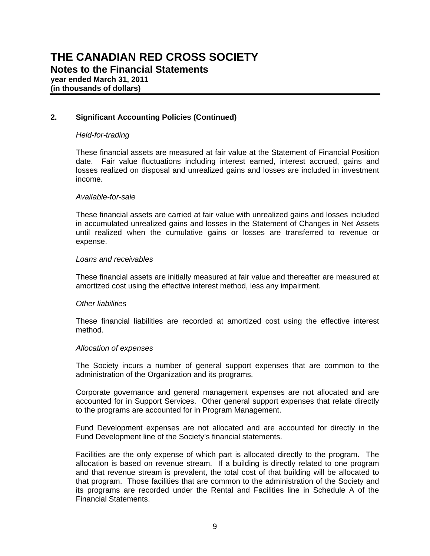#### *Held-for-trading*

These financial assets are measured at fair value at the Statement of Financial Position date. Fair value fluctuations including interest earned, interest accrued, gains and losses realized on disposal and unrealized gains and losses are included in investment income.

#### *Available-for-sale*

These financial assets are carried at fair value with unrealized gains and losses included in accumulated unrealized gains and losses in the Statement of Changes in Net Assets until realized when the cumulative gains or losses are transferred to revenue or expense.

#### *Loans and receivables*

These financial assets are initially measured at fair value and thereafter are measured at amortized cost using the effective interest method, less any impairment.

#### *Other liabilities*

These financial liabilities are recorded at amortized cost using the effective interest method.

#### *Allocation of expenses*

The Society incurs a number of general support expenses that are common to the administration of the Organization and its programs.

Corporate governance and general management expenses are not allocated and are accounted for in Support Services. Other general support expenses that relate directly to the programs are accounted for in Program Management.

Fund Development expenses are not allocated and are accounted for directly in the Fund Development line of the Society's financial statements.

Facilities are the only expense of which part is allocated directly to the program. The allocation is based on revenue stream. If a building is directly related to one program and that revenue stream is prevalent, the total cost of that building will be allocated to that program. Those facilities that are common to the administration of the Society and its programs are recorded under the Rental and Facilities line in Schedule A of the Financial Statements.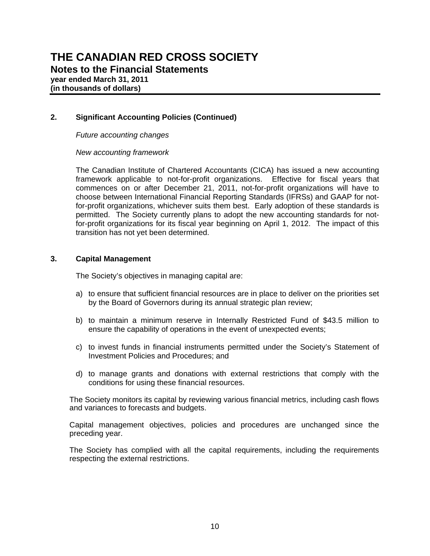*Future accounting changes* 

*New accounting framework* 

The Canadian Institute of Chartered Accountants (CICA) has issued a new accounting framework applicable to not-for-profit organizations. Effective for fiscal years that commences on or after December 21, 2011, not-for-profit organizations will have to choose between International Financial Reporting Standards (IFRSs) and GAAP for notfor-profit organizations, whichever suits them best. Early adoption of these standards is permitted. The Society currently plans to adopt the new accounting standards for notfor-profit organizations for its fiscal year beginning on April 1, 2012. The impact of this transition has not yet been determined.

#### **3. Capital Management**

The Society's objectives in managing capital are:

- a) to ensure that sufficient financial resources are in place to deliver on the priorities set by the Board of Governors during its annual strategic plan review;
- b) to maintain a minimum reserve in Internally Restricted Fund of \$43.5 million to ensure the capability of operations in the event of unexpected events;
- c) to invest funds in financial instruments permitted under the Society's Statement of Investment Policies and Procedures; and
- d) to manage grants and donations with external restrictions that comply with the conditions for using these financial resources.

The Society monitors its capital by reviewing various financial metrics, including cash flows and variances to forecasts and budgets.

Capital management objectives, policies and procedures are unchanged since the preceding year.

The Society has complied with all the capital requirements, including the requirements respecting the external restrictions.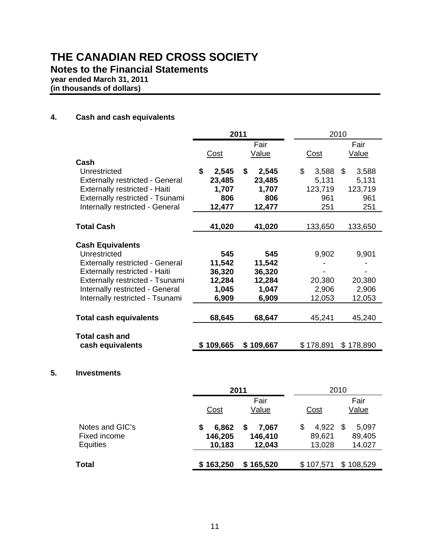**Notes to the Financial Statements**

**year ended March 31, 2011**

**(in thousands of dollars)**

#### **4. Cash and cash equivalents**

|                                           | 2011        |             |             | 2010        |
|-------------------------------------------|-------------|-------------|-------------|-------------|
|                                           |             | Fair        |             | Fair        |
|                                           | <b>Cost</b> | Value       | <b>Cost</b> | Value       |
| Cash                                      |             |             |             |             |
| Unrestricted                              | \$<br>2,545 | \$<br>2,545 | \$<br>3,588 | \$<br>3,588 |
| <b>Externally restricted - General</b>    | 23,485      | 23,485      | 5,131       | 5,131       |
| Externally restricted - Haiti             | 1,707       | 1,707       | 123,719     | 123,719     |
| Externally restricted - Tsunami           | 806         | 806         | 961         | 961         |
| Internally restricted - General           | 12,477      | 12,477      | 251         | 251         |
| <b>Total Cash</b>                         | 41,020      | 41,020      | 133,650     | 133,650     |
|                                           |             |             |             |             |
| <b>Cash Equivalents</b>                   |             |             |             |             |
| Unrestricted                              | 545         | 545         | 9,902       | 9,901       |
| <b>Externally restricted - General</b>    | 11,542      | 11,542      |             |             |
| Externally restricted - Haiti             | 36,320      | 36,320      |             |             |
| Externally restricted - Tsunami           | 12,284      | 12,284      | 20,380      | 20,380      |
| Internally restricted - General           | 1,045       | 1,047       | 2,906       | 2,906       |
| Internally restricted - Tsunami           | 6,909       | 6,909       | 12,053      | 12,053      |
|                                           |             |             |             |             |
| <b>Total cash equivalents</b>             | 68,645      | 68,647      | 45,241      | 45,240      |
|                                           |             |             |             |             |
| <b>Total cash and</b><br>cash equivalents | \$109,665   | \$109,667   | \$178,891   | \$178,890   |

#### **5. Investments**

|                                             | 2011                             |                                 |                           | 2010                           |
|---------------------------------------------|----------------------------------|---------------------------------|---------------------------|--------------------------------|
|                                             | <u>Cost</u>                      | Fair<br>Value                   | <u>Cost</u>               | Fair<br>Value                  |
| Notes and GIC's<br>Fixed income<br>Equities | 6,862<br>\$<br>146,205<br>10,183 | 7,067<br>5<br>146,410<br>12,043 | 4,922<br>89,621<br>13,028 | 5,097<br>S<br>89,405<br>14,027 |
| Total                                       | \$163,250                        | \$165,520                       | \$107,571                 | \$108,529                      |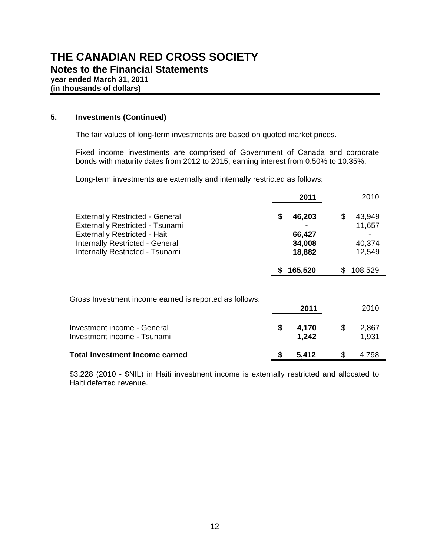#### **5. Investments (Continued)**

The fair values of long-term investments are based on quoted market prices.

 Fixed income investments are comprised of Government of Canada and corporate bonds with maturity dates from 2012 to 2015, earning interest from 0.50% to 10.35%.

Long-term investments are externally and internally restricted as follows:

|                                                                                                                                                                                         | 2011                                       | 2010                                       |
|-----------------------------------------------------------------------------------------------------------------------------------------------------------------------------------------|--------------------------------------------|--------------------------------------------|
| <b>Externally Restricted - General</b><br>Externally Restricted - Tsunami<br><b>Externally Restricted - Haiti</b><br>Internally Restricted - General<br>Internally Restricted - Tsunami | \$<br>46,203<br>66,427<br>34,008<br>18,882 | \$<br>43,949<br>11,657<br>40,374<br>12,549 |
|                                                                                                                                                                                         | 165,520                                    | 108,529                                    |
| Gross Investment income earned is reported as follows:                                                                                                                                  | 2011                                       | 2010                                       |
| Investment income - General<br>Investment income - Tsunami                                                                                                                              | \$<br>4,170<br>1,242                       | \$<br>2,867<br>1,931                       |
| Total investment income earned                                                                                                                                                          | 5,412                                      | 4,798                                      |

\$3,228 (2010 - \$NIL) in Haiti investment income is externally restricted and allocated to Haiti deferred revenue.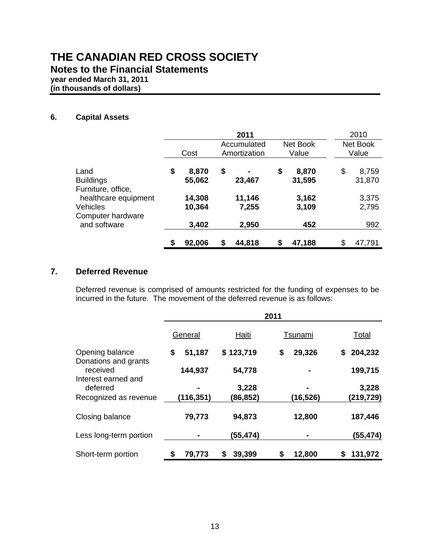**Notes to the Financial Statements**

**year ended March 31, 2011**

**(in thousands of dollars)**

### **6. Capital Assets**

|                                                | Cost                  | 2011<br>Accumulated<br>Amortization | Net Book<br>Value     | 2010<br>Net Book<br>Value |
|------------------------------------------------|-----------------------|-------------------------------------|-----------------------|---------------------------|
| Land<br><b>Buildings</b><br>Furniture, office, | \$<br>8,870<br>55,062 | \$<br>23,467                        | \$<br>8,870<br>31,595 | \$<br>8,759<br>31,870     |
| healthcare equipment<br>Vehicles               | 14,308<br>10,364      | 11,146<br>7,255                     | 3,162<br>3,109        | 3,375<br>2,795            |
| Computer hardware<br>and software              | 3,402                 | 2,950                               | 452                   | 992                       |
|                                                | \$<br>92,006          | 44,818                              | \$<br>47,188          | \$<br>47,791              |

#### **7. Deferred Revenue**

 Deferred revenue is comprised of amounts restricted for the funding of expenses to be incurred in the future. The movement of the deferred revenue is as follows:

|                                                         | 2011         |             |              |               |  |  |
|---------------------------------------------------------|--------------|-------------|--------------|---------------|--|--|
|                                                         | General      | Haiti       | Tsunami      | Total         |  |  |
| Opening balance                                         | \$<br>51,187 | \$123,719   | 29,326<br>\$ | 204,232<br>\$ |  |  |
| Donations and grants<br>received<br>Interest earned and | 144,937      | 54,778      |              | 199,715       |  |  |
| deferred                                                |              | 3,228       |              | 3,228         |  |  |
| Recognized as revenue                                   | (116,351)    | (86,852)    | (16,526)     | (219,729)     |  |  |
| Closing balance                                         | 79,773       | 94,873      | 12,800       | 187,446       |  |  |
| Less long-term portion                                  |              | (55,474)    |              | (55,474)      |  |  |
| Short-term portion                                      | 79,773<br>\$ | 39,399<br>S | 12,800<br>S  | 131,972<br>S  |  |  |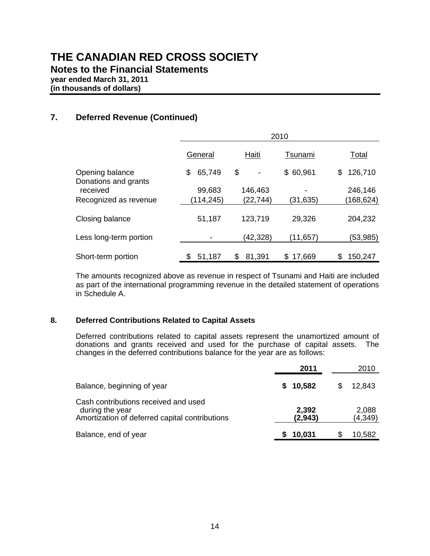## **THE CANADIAN RED CROSS SOCIETY Notes to the Financial Statements year ended March 31, 2011**

**(in thousands of dollars)**

#### **7. Deferred Revenue (Continued)**

|                                         | 2010         |              |             |               |  |  |  |
|-----------------------------------------|--------------|--------------|-------------|---------------|--|--|--|
|                                         | General      | <b>Haiti</b> | Tsunami     | Total         |  |  |  |
| Opening balance<br>Donations and grants | 65,749<br>\$ | \$           | \$60,961    | 126,710<br>\$ |  |  |  |
| received                                | 99,683       | 146,463      |             | 246,146       |  |  |  |
| Recognized as revenue                   | (114,245)    | (22, 744)    | (31,635)    | (168,624)     |  |  |  |
| Closing balance                         | 51,187       | 123,719      | 29,326      | 204,232       |  |  |  |
| Less long-term portion                  |              | (42,328)     | (11,657)    | (53,985)      |  |  |  |
| Short-term portion                      | 51,187<br>\$ | 81,391<br>\$ | S<br>17,669 | 150,247       |  |  |  |

 The amounts recognized above as revenue in respect of Tsunami and Haiti are included as part of the international programming revenue in the detailed statement of operations in Schedule A.

#### **8. Deferred Contributions Related to Capital Assets**

Deferred contributions related to capital assets represent the unamortized amount of donations and grants received and used for the purchase of capital assets. The changes in the deferred contributions balance for the year are as follows:

|                                                                                                           | 2011             | 2010             |
|-----------------------------------------------------------------------------------------------------------|------------------|------------------|
| Balance, beginning of year                                                                                | \$10,582         | 12,843           |
| Cash contributions received and used<br>during the year<br>Amortization of deferred capital contributions | 2,392<br>(2,943) | 2,088<br>(4,349) |
| Balance, end of year                                                                                      | 10,031           | 10,582           |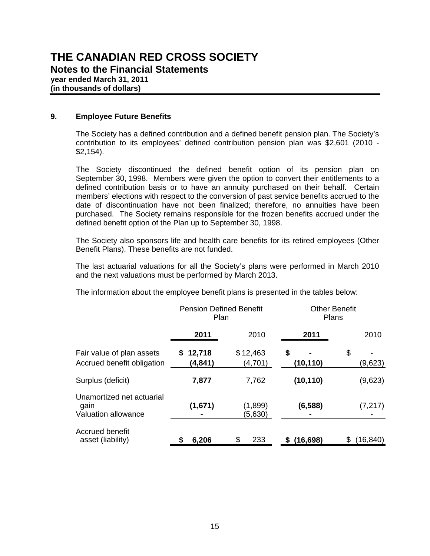#### **9. Employee Future Benefits**

The Society has a defined contribution and a defined benefit pension plan. The Society's contribution to its employees' defined contribution pension plan was \$2,601 (2010 - \$2,154).

The Society discontinued the defined benefit option of its pension plan on September 30, 1998. Members were given the option to convert their entitlements to a defined contribution basis or to have an annuity purchased on their behalf. Certain members' elections with respect to the conversion of past service benefits accrued to the date of discontinuation have not been finalized; therefore, no annuities have been purchased. The Society remains responsible for the frozen benefits accrued under the defined benefit option of the Plan up to September 30, 1998.

The Society also sponsors life and health care benefits for its retired employees (Other Benefit Plans). These benefits are not funded.

The last actuarial valuations for all the Society's plans were performed in March 2010 and the next valuations must be performed by March 2013.

The information about the employee benefit plans is presented in the tables below:

|                                                                 | <b>Pension Defined Benefit</b><br>Plan |                     | <b>Other Benefit</b><br>Plans |               |  |  |  |  |
|-----------------------------------------------------------------|----------------------------------------|---------------------|-------------------------------|---------------|--|--|--|--|
|                                                                 | 2011                                   | 2010                | 2011                          | 2010          |  |  |  |  |
| Fair value of plan assets<br>Accrued benefit obligation         | 12,718<br>S.<br>(4,841)                | \$12,463<br>(4,701) | \$<br>(10, 110)               | \$<br>(9,623) |  |  |  |  |
| Surplus (deficit)                                               | 7,877                                  | 7,762               | (10, 110)                     | (9,623)       |  |  |  |  |
| Unamortized net actuarial<br>gain<br><b>Valuation allowance</b> | (1,671)                                | (1,899)<br>(5,630)  | (6, 588)                      | (7, 217)      |  |  |  |  |
| Accrued benefit<br>asset (liability)                            | 6,206                                  | 233                 | (16, 698)<br>S.               | (16, 840)     |  |  |  |  |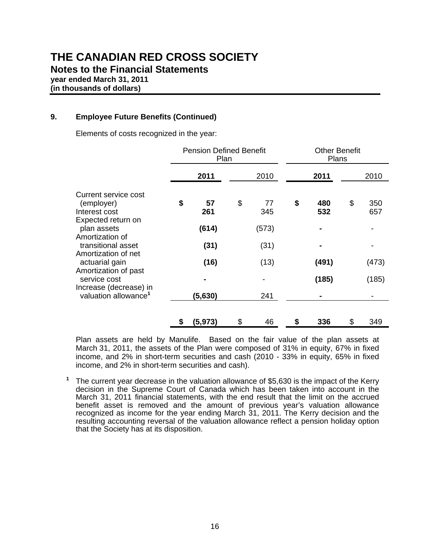## **THE CANADIAN RED CROSS SOCIETY Notes to the Financial Statements year ended March 31, 2011**

**(in thousands of dollars)**

## **9. Employee Future Benefits (Continued)**

Elements of costs recognized in the year:

|                                                                                                                                                                                                                                                                                  | <b>Pension Defined Benefit</b><br>Plan |    | <b>Other Benefit</b><br>Plans |    |            |    |            |  |
|----------------------------------------------------------------------------------------------------------------------------------------------------------------------------------------------------------------------------------------------------------------------------------|----------------------------------------|----|-------------------------------|----|------------|----|------------|--|
|                                                                                                                                                                                                                                                                                  | 2011                                   |    | 2010                          |    | 2011       |    | 2010       |  |
| Current service cost<br>(employer)<br>Interest cost<br>Expected return on<br>plan assets<br>Amortization of<br>transitional asset<br>Amortization of net<br>actuarial gain<br>Amortization of past<br>service cost<br>Increase (decrease) in<br>valuation allowance <sup>1</sup> | \$<br>57<br>261                        | \$ | 77<br>345                     | \$ | 480<br>532 | \$ | 350<br>657 |  |
|                                                                                                                                                                                                                                                                                  | (614)                                  |    | (573)                         |    |            |    |            |  |
|                                                                                                                                                                                                                                                                                  | (31)                                   |    | (31)                          |    |            |    |            |  |
|                                                                                                                                                                                                                                                                                  | (16)                                   |    | (13)                          |    | (491)      |    | (473)      |  |
|                                                                                                                                                                                                                                                                                  |                                        |    |                               |    | (185)      |    | (185)      |  |
|                                                                                                                                                                                                                                                                                  | (5,630)                                |    | 241                           |    |            |    |            |  |
|                                                                                                                                                                                                                                                                                  | \$<br>(5, 973)                         | \$ | 46                            | \$ | 336        | \$ | 349        |  |

Plan assets are held by Manulife. Based on the fair value of the plan assets at March 31, 2011, the assets of the Plan were composed of 31% in equity, 67% in fixed income, and 2% in short-term securities and cash (2010 - 33% in equity, 65% in fixed income, and 2% in short-term securities and cash).

**1** The current year decrease in the valuation allowance of \$5,630 is the impact of the Kerry decision in the Supreme Court of Canada which has been taken into account in the March 31, 2011 financial statements, with the end result that the limit on the accrued benefit asset is removed and the amount of previous year's valuation allowance recognized as income for the year ending March 31, 2011. The Kerry decision and the resulting accounting reversal of the valuation allowance reflect a pension holiday option that the Society has at its disposition.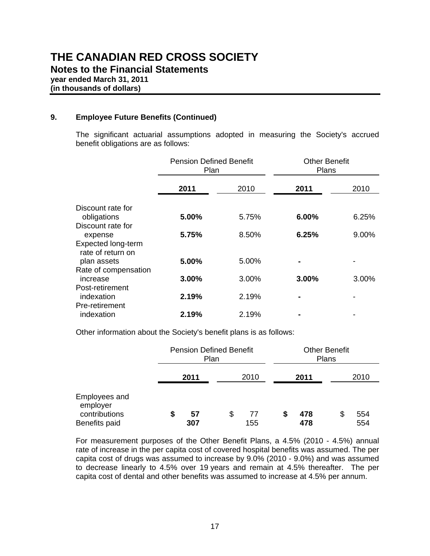#### **9. Employee Future Benefits (Continued)**

The significant actuarial assumptions adopted in measuring the Society's accrued benefit obligations are as follows:

|                                         | <b>Pension Defined Benefit</b><br>Plan |       | <b>Other Benefit</b><br>Plans |       |  |  |  |
|-----------------------------------------|----------------------------------------|-------|-------------------------------|-------|--|--|--|
|                                         | 2011                                   | 2010  | 2011                          | 2010  |  |  |  |
| Discount rate for                       |                                        |       |                               |       |  |  |  |
| obligations                             | 5.00%                                  | 5.75% | 6.00%                         | 6.25% |  |  |  |
| Discount rate for<br>expense            | 5.75%                                  | 8.50% | 6.25%                         | 9.00% |  |  |  |
| Expected long-term<br>rate of return on |                                        |       |                               |       |  |  |  |
| plan assets                             | 5.00%                                  | 5.00% |                               |       |  |  |  |
| Rate of compensation                    |                                        |       |                               |       |  |  |  |
| increase                                | 3.00%                                  | 3.00% | 3.00%                         | 3.00% |  |  |  |
| Post-retirement                         |                                        |       |                               |       |  |  |  |
| indexation                              | 2.19%                                  | 2.19% |                               |       |  |  |  |
| Pre-retirement                          |                                        |       |                               |       |  |  |  |
| indexation                              | 2.19%                                  | 2.19% |                               |       |  |  |  |

Other information about the Society's benefit plans is as follows:

|                                                             | <b>Pension Defined Benefit</b><br>Plan |    |           | <b>Other Benefit</b><br>Plans |            |      |            |  |
|-------------------------------------------------------------|----------------------------------------|----|-----------|-------------------------------|------------|------|------------|--|
|                                                             | 2011                                   |    | 2010      |                               | 2011       | 2010 |            |  |
| Employees and<br>employer<br>contributions<br>Benefits paid | \$<br>57<br>307                        | \$ | 77<br>155 | \$                            | 478<br>478 | \$   | 554<br>554 |  |

For measurement purposes of the Other Benefit Plans, a 4.5% (2010 - 4.5%) annual rate of increase in the per capita cost of covered hospital benefits was assumed. The per capita cost of drugs was assumed to increase by 9.0% (2010 - 9.0%) and was assumed to decrease linearly to 4.5% over 19 years and remain at 4.5% thereafter. The per capita cost of dental and other benefits was assumed to increase at 4.5% per annum.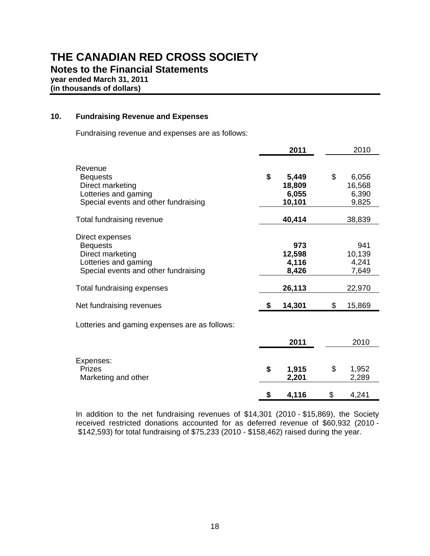## **THE CANADIAN RED CROSS SOCIETY Notes to the Financial Statements year ended March 31, 2011 (in thousands of dollars)**

#### **10. Fundraising Revenue and Expenses**

Fundraising revenue and expenses are as follows:

|                                                                                                                        |    | 2011                               | 2010                                    |
|------------------------------------------------------------------------------------------------------------------------|----|------------------------------------|-----------------------------------------|
| Revenue<br><b>Bequests</b><br>Direct marketing<br>Lotteries and gaming<br>Special events and other fundraising         | \$ | 5,449<br>18,809<br>6,055<br>10,101 | \$<br>6,056<br>16,568<br>6,390<br>9,825 |
| Total fundraising revenue                                                                                              |    | 40,414                             | 38,839                                  |
| Direct expenses<br><b>Bequests</b><br>Direct marketing<br>Lotteries and gaming<br>Special events and other fundraising |    | 973<br>12,598<br>4,116<br>8,426    | 941<br>10,139<br>4,241<br>7,649         |
| Total fundraising expenses                                                                                             |    | 26,113                             | 22,970                                  |
| Net fundraising revenues                                                                                               | S  | 14,301                             | \$<br>15,869                            |
| Lotteries and gaming expenses are as follows:                                                                          |    |                                    |                                         |
|                                                                                                                        |    | 2011                               | 2010                                    |
| Expenses:<br><b>Prizes</b><br>Marketing and other                                                                      | \$ | 1,915<br>2,201                     | \$<br>1,952<br>2,289                    |
|                                                                                                                        | \$ | 4,116                              | \$<br>4,241                             |

 In addition to the net fundraising revenues of \$14,301 (2010 - \$15,869), the Society received restricted donations accounted for as deferred revenue of \$60,932 (2010 - \$142,593) for total fundraising of \$75,233 (2010 - \$158,462) raised during the year.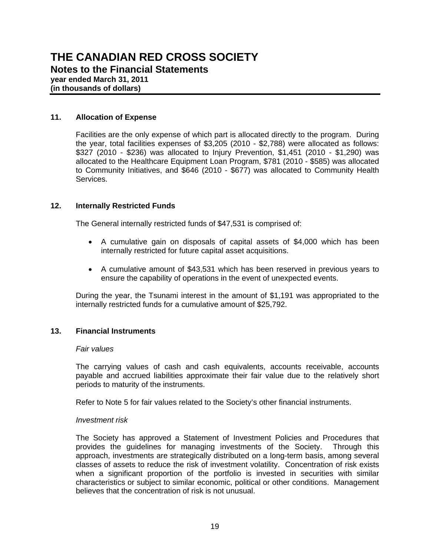#### **11. Allocation of Expense**

Facilities are the only expense of which part is allocated directly to the program. During the year, total facilities expenses of \$3,205 (2010 - \$2,788) were allocated as follows: \$327 (2010 - \$236) was allocated to Injury Prevention, \$1,451 (2010 - \$1,290) was allocated to the Healthcare Equipment Loan Program, \$781 (2010 - \$585) was allocated to Community Initiatives, and \$646 (2010 - \$677) was allocated to Community Health Services.

#### **12. Internally Restricted Funds**

The General internally restricted funds of \$47,531 is comprised of:

- A cumulative gain on disposals of capital assets of \$4,000 which has been internally restricted for future capital asset acquisitions.
- A cumulative amount of \$43,531 which has been reserved in previous years to ensure the capability of operations in the event of unexpected events.

During the year, the Tsunami interest in the amount of \$1,191 was appropriated to the internally restricted funds for a cumulative amount of \$25,792.

#### **13. Financial Instruments**

#### *Fair values*

The carrying values of cash and cash equivalents, accounts receivable, accounts payable and accrued liabilities approximate their fair value due to the relatively short periods to maturity of the instruments.

Refer to Note 5 for fair values related to the Society's other financial instruments.

#### *Investment risk*

The Society has approved a Statement of Investment Policies and Procedures that provides the guidelines for managing investments of the Society. Through this approach, investments are strategically distributed on a long-term basis, among several classes of assets to reduce the risk of investment volatility. Concentration of risk exists when a significant proportion of the portfolio is invested in securities with similar characteristics or subject to similar economic, political or other conditions. Management believes that the concentration of risk is not unusual.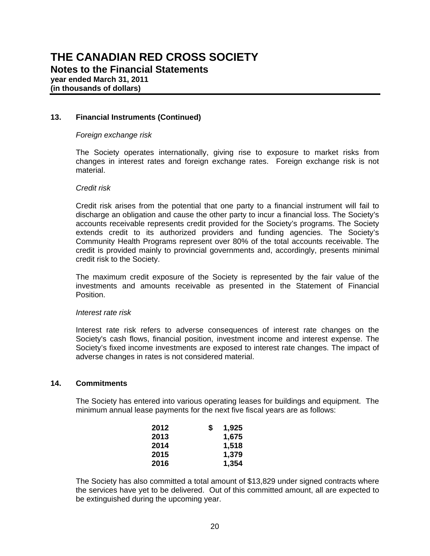#### **13. Financial Instruments (Continued)**

#### *Foreign exchange risk*

The Society operates internationally, giving rise to exposure to market risks from changes in interest rates and foreign exchange rates. Foreign exchange risk is not material.

#### *Credit risk*

Credit risk arises from the potential that one party to a financial instrument will fail to discharge an obligation and cause the other party to incur a financial loss. The Society's accounts receivable represents credit provided for the Society's programs. The Society extends credit to its authorized providers and funding agencies. The Society's Community Health Programs represent over 80% of the total accounts receivable. The credit is provided mainly to provincial governments and, accordingly, presents minimal credit risk to the Society.

The maximum credit exposure of the Society is represented by the fair value of the investments and amounts receivable as presented in the Statement of Financial Position.

#### *Interest rate risk*

Interest rate risk refers to adverse consequences of interest rate changes on the Society's cash flows, financial position, investment income and interest expense. The Society's fixed income investments are exposed to interest rate changes. The impact of adverse changes in rates is not considered material.

#### **14. Commitments**

The Society has entered into various operating leases for buildings and equipment. The minimum annual lease payments for the next five fiscal years are as follows:

| 2012<br>S | 1,925 |
|-----------|-------|
| 2013      | 1,675 |
| 2014      | 1,518 |
| 2015      | 1,379 |
| 2016      | 1,354 |

The Society has also committed a total amount of \$13,829 under signed contracts where the services have yet to be delivered. Out of this committed amount, all are expected to be extinguished during the upcoming year.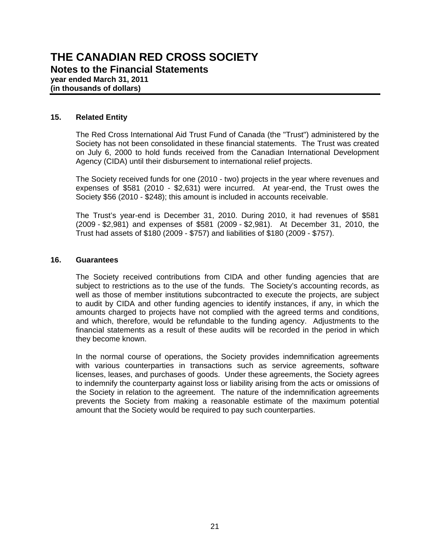#### **15. Related Entity**

The Red Cross International Aid Trust Fund of Canada (the "Trust") administered by the Society has not been consolidated in these financial statements. The Trust was created on July 6, 2000 to hold funds received from the Canadian International Development Agency (CIDA) until their disbursement to international relief projects.

The Society received funds for one (2010 - two) projects in the year where revenues and expenses of \$581 (2010 - \$2,631) were incurred. At year-end, the Trust owes the Society \$56 (2010 - \$248); this amount is included in accounts receivable.

The Trust's year-end is December 31, 2010. During 2010, it had revenues of \$581 (2009 - \$2,981) and expenses of \$581 (2009 - \$2,981). At December 31, 2010, the Trust had assets of \$180 (2009 - \$757) and liabilities of \$180 (2009 - \$757).

#### **16. Guarantees**

The Society received contributions from CIDA and other funding agencies that are subject to restrictions as to the use of the funds. The Society's accounting records, as well as those of member institutions subcontracted to execute the projects, are subject to audit by CIDA and other funding agencies to identify instances, if any, in which the amounts charged to projects have not complied with the agreed terms and conditions, and which, therefore, would be refundable to the funding agency. Adjustments to the financial statements as a result of these audits will be recorded in the period in which they become known.

In the normal course of operations, the Society provides indemnification agreements with various counterparties in transactions such as service agreements, software licenses, leases, and purchases of goods. Under these agreements, the Society agrees to indemnify the counterparty against loss or liability arising from the acts or omissions of the Society in relation to the agreement. The nature of the indemnification agreements prevents the Society from making a reasonable estimate of the maximum potential amount that the Society would be required to pay such counterparties.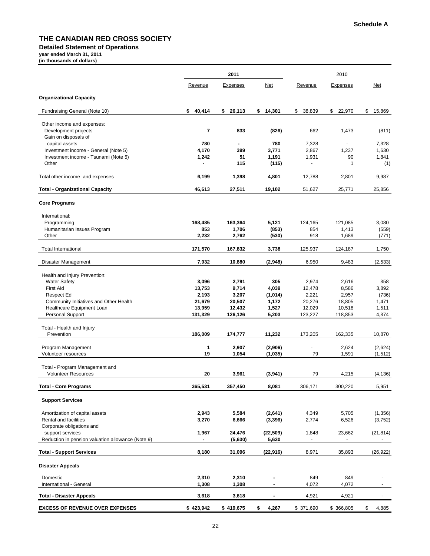**Detailed Statement of Operations**

**year ended March 31, 2011**

**(in thousands of dollars)**

|                                                   |                 | 2011            | 2010             |                          |                |                          |  |  |
|---------------------------------------------------|-----------------|-----------------|------------------|--------------------------|----------------|--------------------------|--|--|
|                                                   | Revenue         | <b>Expenses</b> | <b>Net</b>       | Revenue                  | Expenses       | <u>Net</u>               |  |  |
| <b>Organizational Capacity</b>                    |                 |                 |                  |                          |                |                          |  |  |
| Fundraising General (Note 10)                     | \$<br>40,414    | \$<br>26,113    | \$<br>14,301     | \$<br>38,839             | \$<br>22,970   | \$<br>15,869             |  |  |
| Other income and expenses:                        |                 |                 |                  |                          |                |                          |  |  |
| Development projects                              | 7               | 833             | (826)            | 662                      | 1,473          | (811)                    |  |  |
| Gain on disposals of                              |                 |                 |                  |                          |                |                          |  |  |
| capital assets                                    | 780             |                 | 780              | 7,328                    |                | 7,328                    |  |  |
| Investment income - General (Note 5)              | 4,170<br>1,242  | 399<br>51       | 3,771<br>1,191   | 2,867                    | 1,237<br>90    | 1,630<br>1,841           |  |  |
| Investment income - Tsunami (Note 5)<br>Other     |                 | 115             | (115)            | 1,931                    | 1              | (1)                      |  |  |
| Total other income and expenses                   | 6,199           | 1,398           | 4,801            | 12,788                   | 2,801          | 9,987                    |  |  |
| <b>Total - Organizational Capacity</b>            | 46,613          | 27,511          | 19,102           | 51,627                   | 25,771         | 25,856                   |  |  |
| <b>Core Programs</b>                              |                 |                 |                  |                          |                |                          |  |  |
| International:                                    |                 |                 |                  |                          |                |                          |  |  |
| Programming                                       | 168,485         | 163,364         | 5,121            | 124,165                  | 121,085        | 3,080                    |  |  |
| Humanitarian Issues Program                       | 853             | 1,706           | (853)            | 854                      | 1,413          | (559)                    |  |  |
| Other                                             | 2,232           | 2,762           | (530)            | 918                      | 1,689          | (771)                    |  |  |
| <b>Total International</b>                        | 171,570         | 167,832         | 3,738            | 125,937                  | 124,187        | 1,750                    |  |  |
| Disaster Management                               | 7,932           | 10.880          | (2,948)          | 6,950                    | 9,483          | (2,533)                  |  |  |
|                                                   |                 |                 |                  |                          |                |                          |  |  |
| Health and Injury Prevention:                     |                 |                 |                  |                          |                |                          |  |  |
| <b>Water Safety</b><br><b>First Aid</b>           | 3,096           | 2,791           | 305              | 2,974                    | 2,616          | 358                      |  |  |
| Respect Ed                                        | 13,753<br>2,193 | 9,714<br>3,207  | 4,039            | 12,478<br>2,221          | 8,586<br>2,957 | 3,892<br>(736)           |  |  |
| Community Initiatives and Other Health            | 21,679          | 20,507          | (1,014)<br>1,172 | 20,276                   | 18,805         | 1,471                    |  |  |
| Healthcare Equipment Loan                         | 13,959          | 12,432          | 1,527            | 12,029                   | 10,518         | 1,511                    |  |  |
| Personal Support                                  | 131,329         | 126,126         | 5,203            | 123,227                  | 118,853        | 4,374                    |  |  |
|                                                   |                 |                 |                  |                          |                |                          |  |  |
| Total - Health and Injury<br>Prevention           | 186,009         | 174,777         | 11,232           | 173,205                  | 162,335        | 10,870                   |  |  |
|                                                   |                 |                 |                  |                          |                |                          |  |  |
| Program Management                                | 1               | 2,907           | (2,906)          |                          | 2,624          | (2,624)                  |  |  |
| Volunteer resources                               | 19              | 1,054           | (1,035)          | 79                       | 1,591          | (1, 512)                 |  |  |
| Total - Program Management and                    |                 |                 |                  |                          |                |                          |  |  |
| <b>Volunteer Resources</b>                        | 20              | 3,961           | (3,941)          | 79                       | 4,215          | (4, 136)                 |  |  |
| <b>Total - Core Programs</b>                      | 365,531         | 357,450         | 8,081            | 306,171                  | 300,220        | 5,951                    |  |  |
| <b>Support Services</b>                           |                 |                 |                  |                          |                |                          |  |  |
| Amortization of capital assets                    | 2,943           | 5,584           | (2,641)          | 4,349                    | 5,705          | (1, 356)                 |  |  |
| Rental and facilities                             | 3,270           | 6,666           | (3, 396)         | 2,774                    | 6,526          | (3, 752)                 |  |  |
| Corporate obligations and                         |                 |                 |                  |                          |                |                          |  |  |
| support services                                  | 1,967           | 24,476          | (22, 509)        | 1,848                    | 23,662         | (21, 814)                |  |  |
| Reduction in pension valuation allowance (Note 9) | ۰               | (5,630)         | 5,630            | $\overline{\phantom{a}}$ | ÷,             | ۰                        |  |  |
| <b>Total - Support Services</b>                   | 8,180           | 31,096          | (22, 916)        | 8,971                    | 35,893         | (26, 922)                |  |  |
| <b>Disaster Appeals</b>                           |                 |                 |                  |                          |                |                          |  |  |
| Domestic                                          | 2,310           | 2,310           |                  | 849                      | 849            |                          |  |  |
| International - General                           | 1,308           | 1,308           | $\blacksquare$   | 4,072                    | 4,072          |                          |  |  |
| <b>Total - Disaster Appeals</b>                   | 3,618           | 3,618           | ٠                | 4,921                    | 4,921          | $\overline{\phantom{a}}$ |  |  |
| <b>EXCESS OF REVENUE OVER EXPENSES</b>            | \$423,942       | \$419,675       | 4,267<br>\$      | \$371,690                | \$ 366,805     | \$<br>4,885              |  |  |